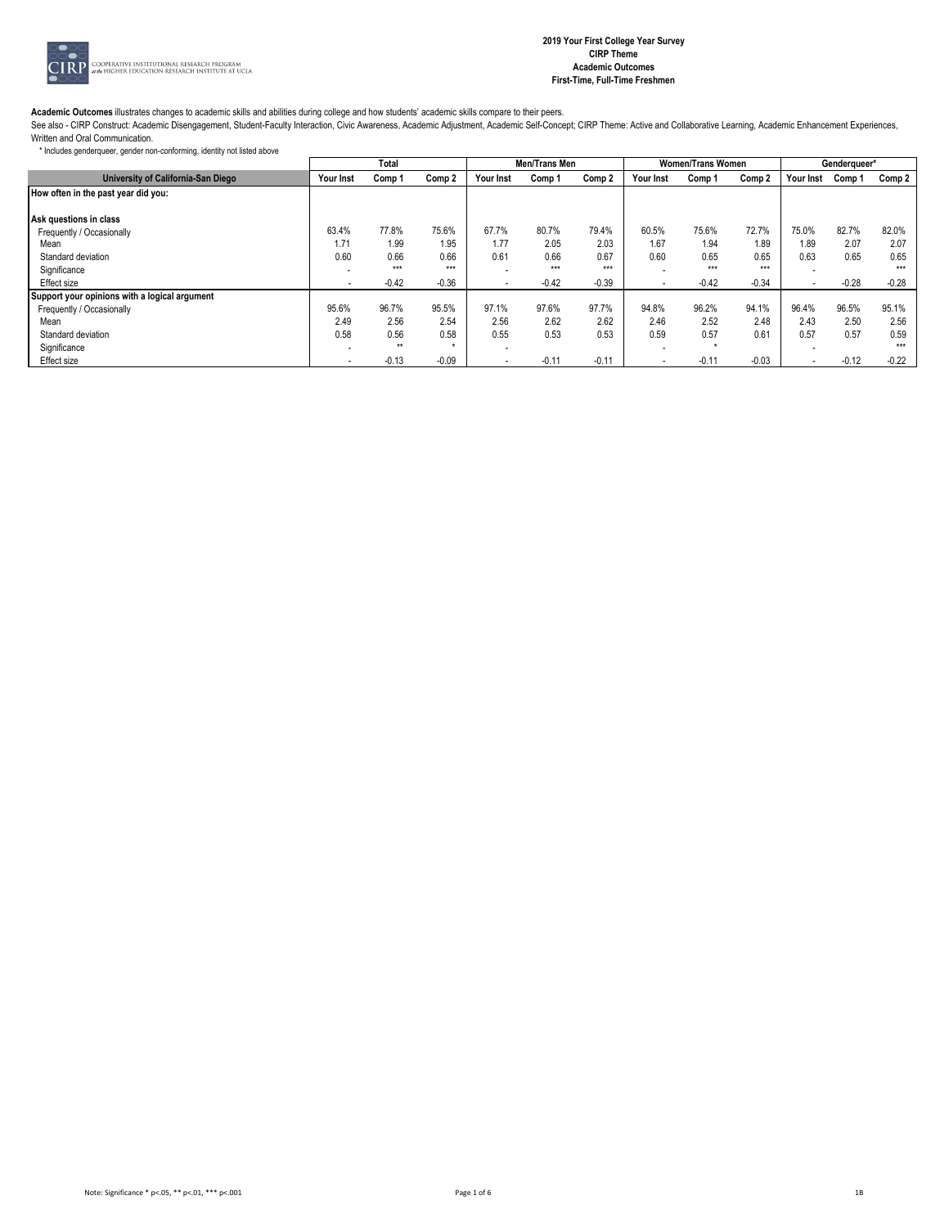

See also - CIRP Construct: Academic Disengagement, Student-Faculty Interaction, Civic Awareness, Academic Adjustment, Academic Self-Concept; CIRP Theme: Active and Collaborative Learning, Academic Enhancement Experiences, Written and Oral Communication.

|                                               |           | Total        |         | Men/Trans Men            |         |         |                          | <b>Women/Trans Women</b> | Genderqueer* |                          |         |         |
|-----------------------------------------------|-----------|--------------|---------|--------------------------|---------|---------|--------------------------|--------------------------|--------------|--------------------------|---------|---------|
| University of California-San Diego            | Your Inst | Comp 1       | Comp 2  | Your Inst                | Comp 1  | Comp 2  | Your Inst                | Comp 1                   | Comp 2       | Your Inst                | Comp 1  | Comp 2  |
| How often in the past year did you:           |           |              |         |                          |         |         |                          |                          |              |                          |         |         |
|                                               |           |              |         |                          |         |         |                          |                          |              |                          |         |         |
| Ask questions in class                        |           |              |         |                          |         |         |                          |                          |              |                          |         |         |
| Frequently / Occasionally                     | 63.4%     | 77.8%        | 75.6%   | 67.7%                    | 80.7%   | 79.4%   | 60.5%                    | 75.6%                    | 72.7%        | 75.0%                    | 82.7%   | 82.0%   |
| Mean                                          | 1.71      | 1.99         | 1.95    | 1.77                     | 2.05    | 2.03    | 1.67                     | 1.94                     | 1.89         | 1.89                     | 2.07    | 2.07    |
| Standard deviation                            | 0.60      | 0.66         | 0.66    | 0.61                     | 0.66    | 0.67    | 0.60                     | 0.65                     | 0.65         | 0.63                     | 0.65    | 0.65    |
| Significance                                  |           | $***$        | $***$   |                          | $***$   | $***$   | $\overline{\phantom{a}}$ | $* * *$                  | $***$        |                          |         | $***$   |
| Effect size                                   |           | $-0.42$      | $-0.36$ | $\overline{\phantom{a}}$ | $-0.42$ | $-0.39$ | $\overline{\phantom{a}}$ | $-0.42$                  | $-0.34$      | $\overline{\phantom{a}}$ | $-0.28$ | $-0.28$ |
| Support your opinions with a logical argument |           |              |         |                          |         |         |                          |                          |              |                          |         |         |
| Frequently / Occasionally                     | 95.6%     | 96.7%        | 95.5%   | 97.1%                    | 97.6%   | 97.7%   | 94.8%                    | 96.2%                    | 94.1%        | 96.4%                    | 96.5%   | 95.1%   |
| Mean                                          | 2.49      | 2.56         | 2.54    | 2.56                     | 2.62    | 2.62    | 2.46                     | 2.52                     | 2.48         | 2.43                     | 2.50    | 2.56    |
| Standard deviation                            | 0.58      | 0.56         | 0.58    | 0.55                     | 0.53    | 0.53    | 0.59                     | 0.57                     | 0.61         | 0.57                     | 0.57    | 0.59    |
| Significance                                  |           | $\star\star$ |         |                          |         |         | $\overline{\phantom{a}}$ |                          |              | $\overline{\phantom{a}}$ |         | $***$   |
| Effect size                                   |           | $-0.13$      | $-0.09$ | $\overline{\phantom{a}}$ | $-0.11$ | $-0.11$ |                          | $-0.11$                  | $-0.03$      | ۰.                       | $-0.12$ | $-0.22$ |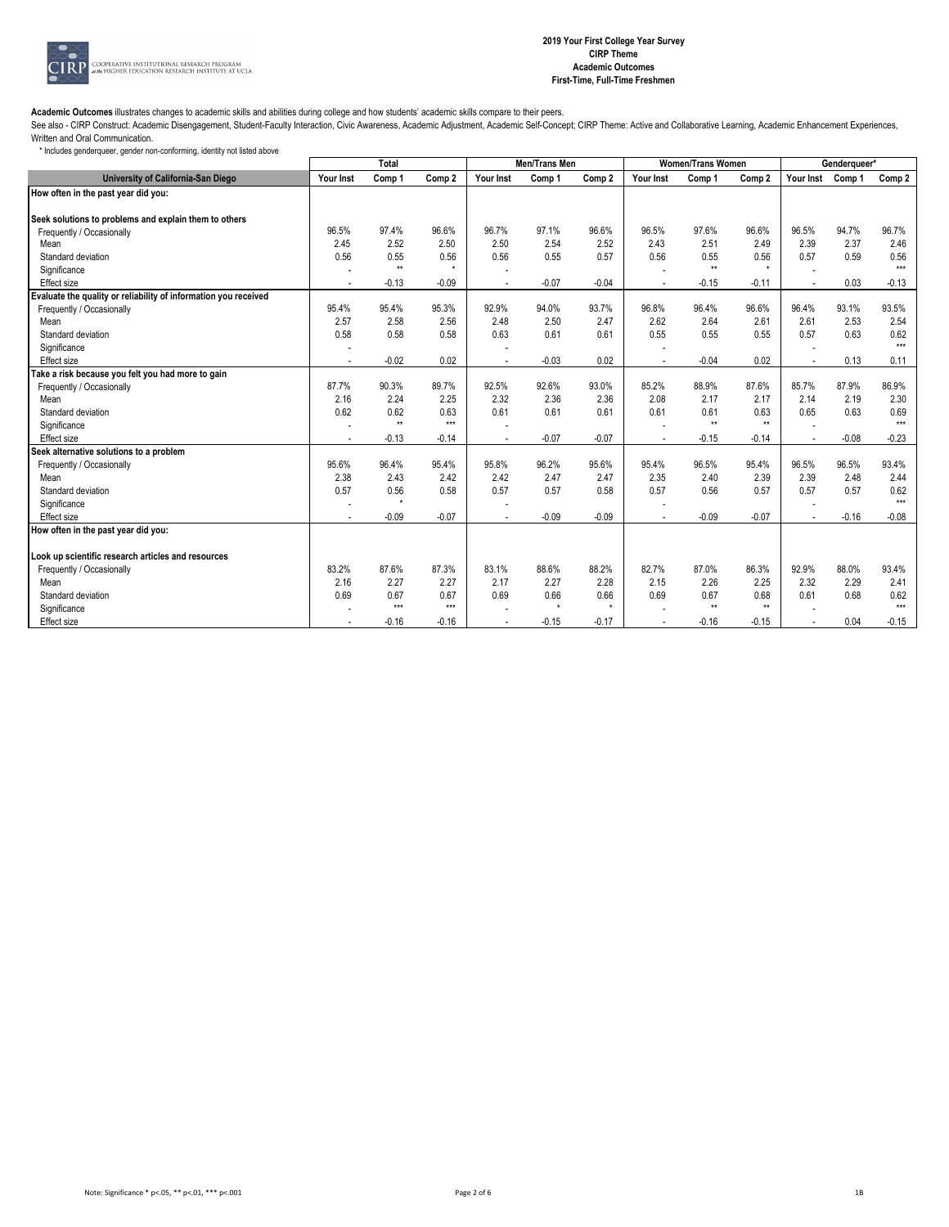

See also - CIRP Construct: Academic Disengagement, Student-Faculty Interaction, Civic Awareness, Academic Adjustment, Academic Self-Concept; CIRP Theme: Active and Collaborative Learning, Academic Enhancement Experiences, Written and Oral Communication.

| * Includes genderqueer, gender non-conforming, identity not listed above |  |  |  |  |  |
|--------------------------------------------------------------------------|--|--|--|--|--|
|--------------------------------------------------------------------------|--|--|--|--|--|

|                                                                 | Total     |              |         | Men/Trans Men |         |          |           | <b>Women/Trans Women</b> |              | Genderqueer*             |         |         |
|-----------------------------------------------------------------|-----------|--------------|---------|---------------|---------|----------|-----------|--------------------------|--------------|--------------------------|---------|---------|
| University of California-San Diego                              | Your Inst | Comp 1       | Comp 2  | Your Inst     | Comp 1  | Comp 2   | Your Inst | Comp 1                   | Comp 2       | Your Inst                | Comp 1  | Comp 2  |
| How often in the past year did you:                             |           |              |         |               |         |          |           |                          |              |                          |         |         |
|                                                                 |           |              |         |               |         |          |           |                          |              |                          |         |         |
| Seek solutions to problems and explain them to others           |           |              |         |               |         |          |           |                          |              |                          |         |         |
| Frequently / Occasionally                                       | 96.5%     | 97.4%        | 96.6%   | 96.7%         | 97.1%   | 96.6%    | 96.5%     | 97.6%                    | 96.6%        | 96.5%                    | 94.7%   | 96.7%   |
| Mean                                                            | 2.45      | 2.52         | 2.50    | 2.50          | 2.54    | 2.52     | 2.43      | 2.51                     | 2.49         | 2.39                     | 2.37    | 2.46    |
| Standard deviation                                              | 0.56      | 0.55         | 0.56    | 0.56          | 0.55    | 0.57     | 0.56      | 0.55                     | 0.56         | 0.57                     | 0.59    | 0.56    |
| Significance                                                    |           | $\star\star$ | $\star$ |               |         |          |           | $\pm\pm$                 | $\star$      |                          |         | $***$   |
| Effect size                                                     |           | $-0.13$      | $-0.09$ |               | $-0.07$ | $-0.04$  |           | $-0.15$                  | $-0.11$      | $\overline{\phantom{a}}$ | 0.03    | $-0.13$ |
| Evaluate the quality or reliability of information you received |           |              |         |               |         |          |           |                          |              |                          |         |         |
| Frequently / Occasionally                                       | 95.4%     | 95.4%        | 95.3%   | 92.9%         | 94.0%   | 93.7%    | 96.8%     | 96.4%                    | 96.6%        | 96.4%                    | 93.1%   | 93.5%   |
| Mean                                                            | 2.57      | 2.58         | 2.56    | 2.48          | 2.50    | 2.47     | 2.62      | 2.64                     | 2.61         | 2.61                     | 2.53    | 2.54    |
| Standard deviation                                              | 0.58      | 0.58         | 0.58    | 0.63          | 0.61    | 0.61     | 0.55      | 0.55                     | 0.55         | 0.57                     | 0.63    | 0.62    |
| Significance                                                    |           |              |         |               |         |          |           |                          |              |                          |         | $***$   |
| Effect size                                                     | $\sim$    | $-0.02$      | 0.02    | $\sim$        | $-0.03$ | 0.02     |           | $-0.04$                  | 0.02         | $\sim$                   | 0.13    | 0.11    |
| Take a risk because you felt you had more to gain               |           |              |         |               |         |          |           |                          |              |                          |         |         |
| Frequently / Occasionally                                       | 87.7%     | 90.3%        | 89.7%   | 92.5%         | 92.6%   | 93.0%    | 85.2%     | 88.9%                    | 87.6%        | 85.7%                    | 87.9%   | 86.9%   |
| Mean                                                            | 2.16      | 2.24         | 2.25    | 2.32          | 2.36    | 2.36     | 2.08      | 2.17                     | 2.17         | 2.14                     | 2.19    | 2.30    |
| Standard deviation                                              | 0.62      | 0.62         | 0.63    | 0.61          | 0.61    | 0.61     | 0.61      | 0.61                     | 0.63         | 0.65                     | 0.63    | 0.69    |
| Significance                                                    |           | $\star\star$ | $***$   |               |         |          |           | $\star\star$             | $\star\star$ |                          |         | $***$   |
| <b>Effect size</b>                                              |           | $-0.13$      | $-0.14$ |               | $-0.07$ | $-0.07$  |           | $-0.15$                  | $-0.14$      |                          | $-0.08$ | $-0.23$ |
| Seek alternative solutions to a problem                         |           |              |         |               |         |          |           |                          |              |                          |         |         |
| Frequently / Occasionally                                       | 95.6%     | 96.4%        | 95.4%   | 95.8%         | 96.2%   | 95.6%    | 95.4%     | 96.5%                    | 95.4%        | 96.5%                    | 96.5%   | 93.4%   |
| Mean                                                            | 2.38      | 2.43         | 2.42    | 2.42          | 2.47    | 2.47     | 2.35      | 2.40                     | 2.39         | 2.39                     | 2.48    | 2.44    |
| Standard deviation                                              | 0.57      | 0.56         | 0.58    | 0.57          | 0.57    | 0.58     | 0.57      | 0.56                     | 0.57         | 0.57                     | 0.57    | 0.62    |
| Significance                                                    |           | $\star$      |         |               |         |          |           |                          |              |                          |         | $***$   |
| Effect size                                                     |           | $-0.09$      | $-0.07$ |               | $-0.09$ | $-0.09$  |           | $-0.09$                  | $-0.07$      | $\overline{a}$           | $-0.16$ | $-0.08$ |
| How often in the past year did you:                             |           |              |         |               |         |          |           |                          |              |                          |         |         |
|                                                                 |           |              |         |               |         |          |           |                          |              |                          |         |         |
| Look up scientific research articles and resources              |           |              |         |               |         |          |           |                          |              |                          |         |         |
| Frequently / Occasionally                                       | 83.2%     | 87.6%        | 87.3%   | 83.1%         | 88.6%   | 88.2%    | 82.7%     | 87.0%                    | 86.3%        | 92.9%                    | 88.0%   | 93.4%   |
| Mean                                                            | 2.16      | 2.27         | 2.27    | 2.17          | 2.27    | 2.28     | 2.15      | 2.26                     | 2.25         | 2.32                     | 2.29    | 2.41    |
| Standard deviation                                              | 0.69      | 0.67         | 0.67    | 0.69          | 0.66    | 0.66     | 0.69      | 0.67                     | 0.68         | 0.61                     | 0.68    | 0.62    |
| Significance                                                    |           | $***$        | $***$   |               | $\star$ | $^\star$ |           | $\star\star$             | $\star\star$ |                          |         | $***$   |
| Effect size                                                     |           | $-0.16$      | $-0.16$ |               | $-0.15$ | $-0.17$  |           | $-0.16$                  | $-0.15$      |                          | 0.04    | $-0.15$ |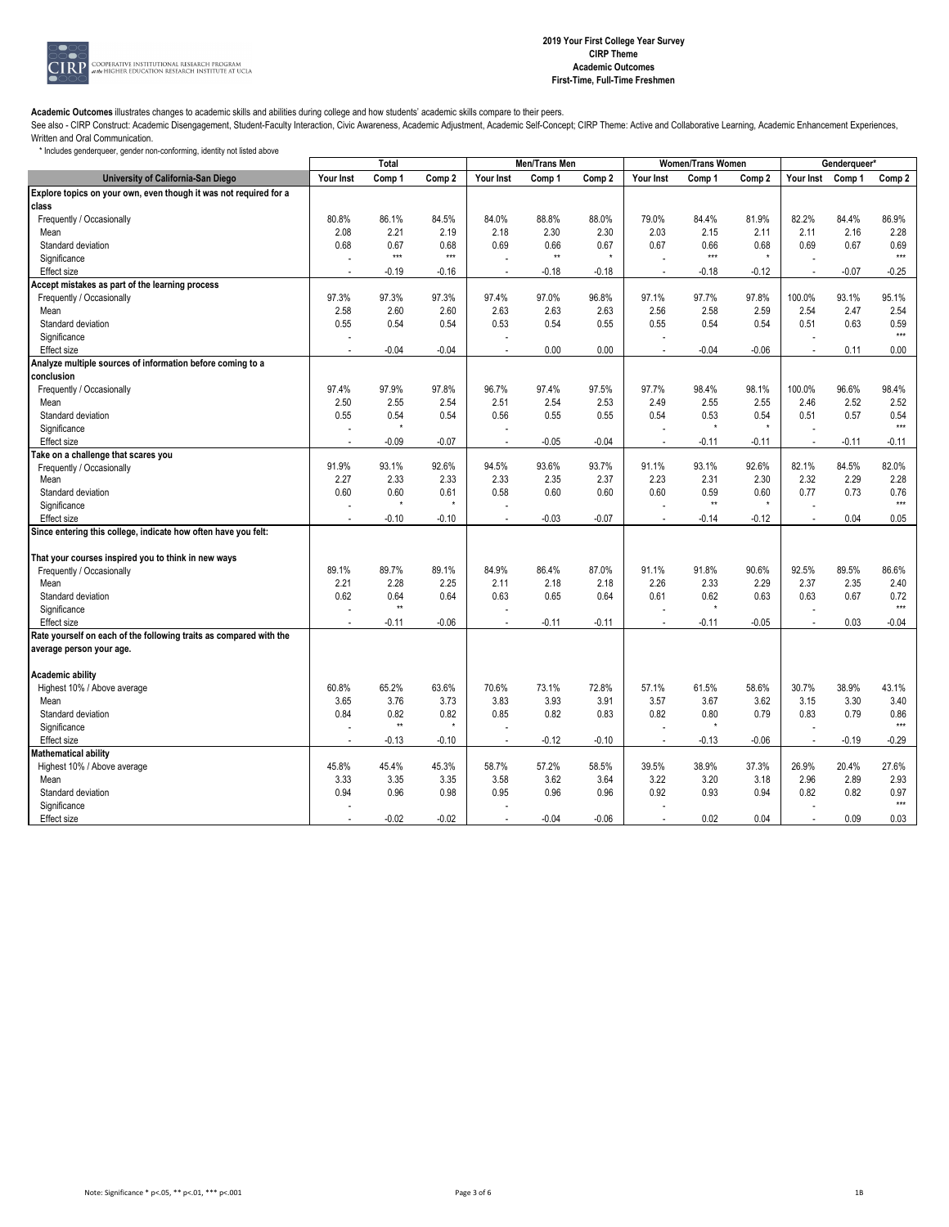

See also - CIRP Construct: Academic Disengagement, Student-Faculty Interaction, Civic Awareness, Academic Adjustment, Academic Self-Concept; CIRP Theme: Active and Collaborative Learning, Academic Enhancement Experiences, Written and Oral Communication.

|                                                                    | Total     |              |         | Men/Trans Men |              |         |                          | <b>Women/Trans Women</b> |         | Genderqueer* |         |               |
|--------------------------------------------------------------------|-----------|--------------|---------|---------------|--------------|---------|--------------------------|--------------------------|---------|--------------|---------|---------------|
| University of California-San Diego                                 | Your Inst | Comp 1       | Comp 2  | Your Inst     | Comp 1       | Comp 2  | Your Inst                | Comp 1                   | Comp 2  | Your Inst    | Comp 1  | Comp 2        |
| Explore topics on your own, even though it was not required for a  |           |              |         |               |              |         |                          |                          |         |              |         |               |
| class                                                              |           |              |         |               |              |         |                          |                          |         |              |         |               |
| Frequently / Occasionally                                          | 80.8%     | 86.1%        | 84.5%   | 84.0%         | 88.8%        | 88.0%   | 79.0%                    | 84.4%                    | 81.9%   | 82.2%        | 84.4%   | 86.9%         |
| Mean                                                               | 2.08      | 2.21         | 2.19    | 2.18          | 2.30         | 2.30    | 2.03                     | 2.15                     | 2.11    | 2.11         | 2.16    | 2.28          |
| Standard deviation                                                 | 0.68      | 0.67         | 0.68    | 0.69          | 0.66         | 0.67    | 0.67                     | 0.66                     | 0.68    | 0.69         | 0.67    | 0.69          |
| Significance                                                       |           | $***$        | $***$   | ÷             | $\star\star$ | $\star$ |                          | $***$                    |         |              |         | $***$         |
| Effect size                                                        |           | $-0.19$      | $-0.16$ | ٠             | $-0.18$      | $-0.18$ | $\overline{a}$           | $-0.18$                  | $-0.12$ | $\sim$       | $-0.07$ | $-0.25$       |
| Accept mistakes as part of the learning process                    |           |              |         |               |              |         |                          |                          |         |              |         |               |
| Frequently / Occasionally                                          | 97.3%     | 97.3%        | 97.3%   | 97.4%         | 97.0%        | 96.8%   | 97.1%                    | 97.7%                    | 97.8%   | 100.0%       | 93.1%   | 95.1%         |
| Mean                                                               | 2.58      | 2.60         | 2.60    | 2.63          | 2.63         | 2.63    | 2.56                     | 2.58                     | 2.59    | 2.54         | 2.47    | 2.54          |
| Standard deviation                                                 | 0.55      | 0.54         | 0.54    | 0.53          | 0.54         | 0.55    | 0.55                     | 0.54                     | 0.54    | 0.51         | 0.63    | 0.59          |
| Significance                                                       |           |              |         |               |              |         | L,                       |                          |         |              |         | $***$         |
| Effect size                                                        |           | $-0.04$      | $-0.04$ |               | 0.00         | 0.00    | $\overline{a}$           | $-0.04$                  | $-0.06$ |              | 0.11    | 0.00          |
| Analyze multiple sources of information before coming to a         |           |              |         |               |              |         |                          |                          |         |              |         |               |
| conclusion                                                         |           |              |         |               |              |         |                          |                          |         |              |         |               |
| Frequently / Occasionally                                          | 97.4%     | 97.9%        | 97.8%   | 96.7%         | 97.4%        | 97.5%   | 97.7%                    | 98.4%                    | 98.1%   | 100.0%       | 96.6%   | 98.4%         |
| Mean                                                               | 2.50      | 2.55         | 2.54    | 2.51          | 2.54         | 2.53    | 2.49                     | 2.55                     | 2.55    | 2.46         | 2.52    | 2.52          |
| Standard deviation                                                 | 0.55      | 0.54         | 0.54    | 0.56          | 0.55         | 0.55    | 0.54                     | 0.53                     | 0.54    | 0.51         | 0.57    | 0.54          |
| Significance                                                       |           | $\star$      |         |               |              |         |                          | $^\star$                 | $\star$ |              |         | $***$         |
| Effect size                                                        | $\sim$    | $-0.09$      | $-0.07$ | ٠             | $-0.05$      | $-0.04$ | $\overline{\phantom{a}}$ | $-0.11$                  | $-0.11$ | $\sim$       | $-0.11$ | $-0.11$       |
| ake on a challenge that scares you                                 |           |              |         |               |              |         |                          |                          |         |              |         |               |
| Frequently / Occasionally                                          | 91.9%     | 93.1%        | 92.6%   | 94.5%         | 93.6%        | 93.7%   | 91.1%                    | 93.1%                    | 92.6%   | 82.1%        | 84.5%   | 82.0%         |
| Mean                                                               | 2.27      | 2.33         | 2.33    | 2.33          | 2.35         | 2.37    | 2.23                     | 2.31                     | 2.30    | 2.32         | 2.29    | 2.28          |
| Standard deviation                                                 | 0.60      | 0.60         | 0.61    | 0.58          | 0.60         | 0.60    | 0.60                     | 0.59                     | 0.60    | 0.77         | 0.73    | 0.76          |
| Significance                                                       |           | $\star$      | $\star$ |               |              |         |                          | $\star\star$             | $\star$ |              |         | $***$         |
| Effect size                                                        |           | $-0.10$      | $-0.10$ |               | $-0.03$      | $-0.07$ |                          | $-0.14$                  | $-0.12$ |              | 0.04    | 0.05          |
| Since entering this college, indicate how often have you felt:     |           |              |         |               |              |         |                          |                          |         |              |         |               |
|                                                                    |           |              |         |               |              |         |                          |                          |         |              |         |               |
| That your courses inspired you to think in new ways                |           |              |         |               |              |         |                          |                          |         |              |         |               |
| Frequently / Occasionally                                          | 89.1%     | 89.7%        | 89.1%   | 84.9%         | 86.4%        | 87.0%   | 91.1%                    | 91.8%                    | 90.6%   | 92.5%        | 89.5%   | 86.6%         |
| Mean                                                               | 2.21      | 2.28         | 2.25    | 2.11          | 2.18         | 2.18    | 2.26                     | 2.33                     | 2.29    | 2.37         | 2.35    | 2.40          |
| Standard deviation                                                 | 0.62      | 0.64         | 0.64    | 0.63          | 0.65         | 0.64    | 0.61                     | 0.62                     | 0.63    | 0.63         | 0.67    | 0.72          |
| Significance                                                       |           | $\star\star$ |         |               |              |         |                          | $\star$                  |         |              |         | $***$         |
| Effect size                                                        |           | $-0.11$      | $-0.06$ |               | $-0.11$      | $-0.11$ |                          | $-0.11$                  | $-0.05$ |              | 0.03    | $-0.04$       |
| Rate yourself on each of the following traits as compared with the |           |              |         |               |              |         |                          |                          |         |              |         |               |
| average person your age.                                           |           |              |         |               |              |         |                          |                          |         |              |         |               |
|                                                                    |           |              |         |               |              |         |                          |                          |         |              |         |               |
| <b>Academic ability</b>                                            |           |              |         |               |              |         |                          |                          |         |              |         |               |
| Highest 10% / Above average                                        | 60.8%     | 65.2%        | 63.6%   | 70.6%         | 73.1%        | 72.8%   | 57.1%                    | 61.5%                    | 58.6%   | 30.7%        | 38.9%   | 43.1%         |
| Mean                                                               | 3.65      | 3.76         | 3.73    | 3.83          | 3.93         | 3.91    | 3.57                     | 3.67                     | 3.62    | 3.15         | 3.30    | 3.40          |
| Standard deviation                                                 | 0.84      | 0.82         | 0.82    | 0.85          | 0.82         | 0.83    | 0.82                     | 0.80                     | 0.79    | 0.83         | 0.79    | 0.86          |
| Significance                                                       |           | $\star\star$ | $\star$ | ÷             |              |         | $\overline{\phantom{a}}$ |                          |         |              |         | $***$         |
|                                                                    |           | $-0.13$      | $-0.10$ |               | $-0.12$      | $-0.10$ |                          | $-0.13$                  | $-0.06$ |              | $-0.19$ | $-0.29$       |
| Effect size                                                        |           |              |         | $\sim$        |              |         | $\overline{\phantom{a}}$ |                          |         | $\sim$       |         |               |
| Mathematical ability                                               |           |              |         |               |              |         |                          |                          |         |              |         |               |
| Highest 10% / Above average                                        | 45.8%     | 45.4%        | 45.3%   | 58.7%         | 57.2%        | 58.5%   | 39.5%                    | 38.9%                    | 37.3%   | 26.9%        | 20.4%   | 27.6%         |
| Mean                                                               | 3.33      | 3.35         | 3.35    | 3.58          | 3.62         | 3.64    | 3.22                     | 3.20                     | 3.18    | 2.96         | 2.89    | 2.93          |
| Standard deviation                                                 | 0.94      | 0.96         | 0.98    | 0.95          | 0.96         | 0.96    | 0.92                     | 0.93                     | 0.94    | 0.82         | 0.82    | 0.97<br>$***$ |
| Significance                                                       |           |              |         |               |              |         |                          |                          |         |              |         |               |
| Effect size                                                        |           | $-0.02$      | $-0.02$ |               | $-0.04$      | $-0.06$ | $\overline{a}$           | 0.02                     | 0.04    |              | 0.09    | 0.03          |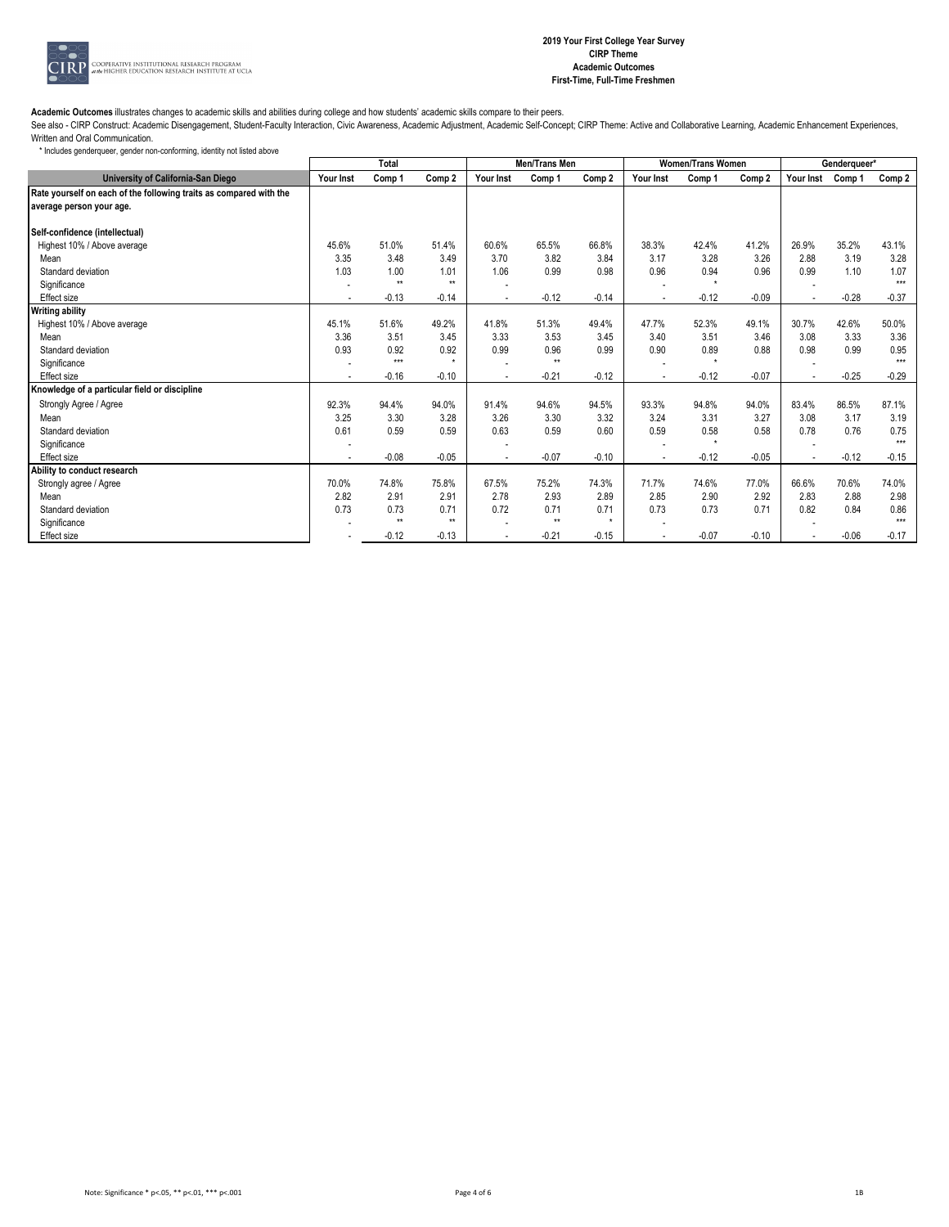

See also - CIRP Construct: Academic Disengagement, Student-Faculty Interaction, Civic Awareness, Academic Adjustment, Academic Self-Concept; CIRP Theme: Active and Collaborative Learning, Academic Enhancement Experiences, Written and Oral Communication.

|                                                                    | Total     |              |                   |                | Men/Trans Men |         |           | <b>Women/Trans Women</b> |         | Genderqueer* |         |         |
|--------------------------------------------------------------------|-----------|--------------|-------------------|----------------|---------------|---------|-----------|--------------------------|---------|--------------|---------|---------|
| University of California-San Diego                                 | Your Inst | Comp 1       | Comp <sub>2</sub> | Your Inst      | Comp 1        | Comp 2  | Your Inst | Comp 1                   | Comp 2  | Your Inst    | Comp 1  | Comp 2  |
| Rate yourself on each of the following traits as compared with the |           |              |                   |                |               |         |           |                          |         |              |         |         |
| average person your age.                                           |           |              |                   |                |               |         |           |                          |         |              |         |         |
|                                                                    |           |              |                   |                |               |         |           |                          |         |              |         |         |
| Self-confidence (intellectual)                                     | 45.6%     | 51.0%        | 51.4%             | 60.6%          | 65.5%         | 66.8%   |           | 42.4%                    | 41.2%   | 26.9%        | 35.2%   | 43.1%   |
| Highest 10% / Above average                                        |           |              |                   |                |               |         | 38.3%     |                          |         |              |         |         |
| Mean                                                               | 3.35      | 3.48         | 3.49              | 3.70           | 3.82          | 3.84    | 3.17      | 3.28                     | 3.26    | 2.88         | 3.19    | 3.28    |
| Standard deviation                                                 | 1.03      | 1.00         | 1.01              | 1.06           | 0.99          | 0.98    | 0.96      | 0.94                     | 0.96    | 0.99         | 1.10    | 1.07    |
| Significance                                                       |           | $\star\star$ | $\star\star$      |                |               |         |           | $\star$                  |         |              |         | $***$   |
| Effect size                                                        |           | $-0.13$      | $-0.14$           | $\blacksquare$ | $-0.12$       | $-0.14$ |           | $-0.12$                  | $-0.09$ |              | $-0.28$ | $-0.37$ |
| <b>Writing ability</b>                                             |           |              |                   |                |               |         |           |                          |         |              |         |         |
| Highest 10% / Above average                                        | 45.1%     | 51.6%        | 49.2%             | 41.8%          | 51.3%         | 49.4%   | 47.7%     | 52.3%                    | 49.1%   | 30.7%        | 42.6%   | 50.0%   |
| Mean                                                               | 3.36      | 3.51         | 3.45              | 3.33           | 3.53          | 3.45    | 3.40      | 3.51                     | 3.46    | 3.08         | 3.33    | 3.36    |
| Standard deviation                                                 | 0.93      | 0.92         | 0.92              | 0.99           | 0.96          | 0.99    | 0.90      | 0.89                     | 0.88    | 0.98         | 0.99    | 0.95    |
| Significance                                                       |           | $***$        | $\star$           |                | $\star\star$  |         |           |                          |         |              |         | $***$   |
| Effect size                                                        |           | $-0.16$      | $-0.10$           | ٠              | $-0.21$       | $-0.12$ |           | $-0.12$                  | $-0.07$ |              | $-0.25$ | $-0.29$ |
| Knowledge of a particular field or discipline                      |           |              |                   |                |               |         |           |                          |         |              |         |         |
| Strongly Agree / Agree                                             | 92.3%     | 94.4%        | 94.0%             | 91.4%          | 94.6%         | 94.5%   | 93.3%     | 94.8%                    | 94.0%   | 83.4%        | 86.5%   | 87.1%   |
| Mean                                                               | 3.25      | 3.30         | 3.28              | 3.26           | 3.30          | 3.32    | 3.24      | 3.31                     | 3.27    | 3.08         | 3.17    | 3.19    |
| Standard deviation                                                 | 0.61      | 0.59         | 0.59              | 0.63           | 0.59          | 0.60    | 0.59      | 0.58                     | 0.58    | 0.78         | 0.76    | 0.75    |
| Significance                                                       |           |              |                   |                |               |         |           | $\star$                  |         |              |         | $***$   |
| <b>Effect size</b>                                                 |           | $-0.08$      | $-0.05$           | $\blacksquare$ | $-0.07$       | $-0.10$ |           | $-0.12$                  | $-0.05$ |              | $-0.12$ | $-0.15$ |
| Ability to conduct research                                        |           |              |                   |                |               |         |           |                          |         |              |         |         |
| Strongly agree / Agree                                             | 70.0%     | 74.8%        | 75.8%             | 67.5%          | 75.2%         | 74.3%   | 71.7%     | 74.6%                    | 77.0%   | 66.6%        | 70.6%   | 74.0%   |
| Mean                                                               | 2.82      | 2.91         | 2.91              | 2.78           | 2.93          | 2.89    | 2.85      | 2.90                     | 2.92    | 2.83         | 2.88    | 2.98    |
| Standard deviation                                                 | 0.73      | 0.73         | 0.71              | 0.72           | 0.71          | 0.71    | 0.73      | 0.73                     | 0.71    | 0.82         | 0.84    | 0.86    |
| Significance                                                       |           | $\star\star$ | $\star\star$      |                | $\star\star$  | $\star$ |           |                          |         |              |         | $***$   |
| Effect size                                                        |           | $-0.12$      | $-0.13$           |                | $-0.21$       | $-0.15$ |           | $-0.07$                  | $-0.10$ |              | $-0.06$ | $-0.17$ |
|                                                                    |           |              |                   |                |               |         |           |                          |         |              |         |         |